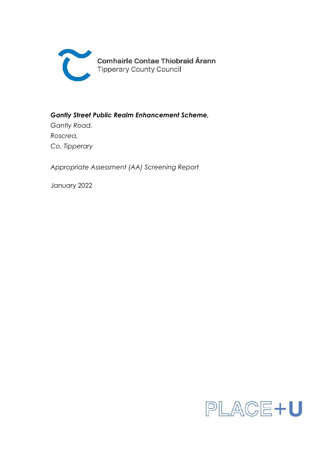

**Comhairle Contae Thiobraid Árann Tipperary County Council** 

*Gantly Street Public Realm Enhancement Scheme,*

*Gantly Road, Roscrea, Co. Tipperary*

*Appropriate Assessment (AA) Screening Report*

January 2022

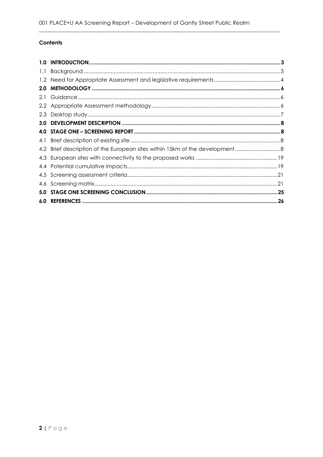# Contents

| 2.0 <sub>1</sub> |  |
|------------------|--|
| 2.1              |  |
|                  |  |
|                  |  |
|                  |  |
|                  |  |
|                  |  |
|                  |  |
|                  |  |
|                  |  |
|                  |  |
|                  |  |
| 5.0              |  |
|                  |  |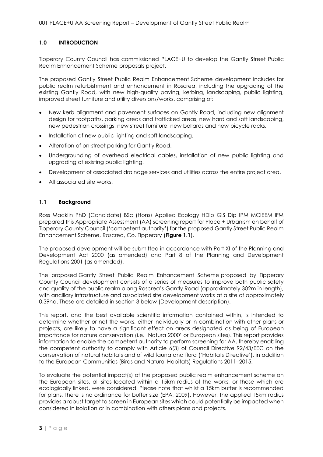## <span id="page-2-0"></span>**1.0 INTRODUCTION**

Tipperary County Council has commissioned PLACE+U to develop the Gantly Street Public Realm Enhancement Scheme proposals project.

 $\_$  , and the set of the set of the set of the set of the set of the set of the set of the set of the set of the set of the set of the set of the set of the set of the set of the set of the set of the set of the set of th

The proposed Gantly Street Public Realm Enhancement Scheme development includes for public realm refurbishment and enhancement in Roscrea, including the upgrading of the existing Gantly Road, with new high-quality paving, kerbing, landscaping, public lighting, improved street furniture and utility diversions/works, comprising of:

- New kerb alignment and pavement surfaces on Gantly Road, including new alignment design for footpaths, parking areas and trafficked areas, new hard and soft landscaping, new pedestrian crossings, new street furniture, new bollards and new bicycle racks.
- Installation of new public lighting and soft landscaping.
- Alteration of on-street parking for Gantly Road.
- Undergrounding of overhead electrical cables, installation of new public lighting and upgrading of existing public lighting.
- Development of associated drainage services and utilities across the entire project area.
- All associated site works.

## <span id="page-2-1"></span>**1.1 Background**

Ross Macklin PhD (Candidate) BSc (Hons) Applied Ecology HDip GIS Dip IPM MCIEEM IFM prepared this Appropriate Assessment (AA) screening report for Place + Urbanism on behalf of Tipperary County Council ('competent authority') for the proposed Gantly Street Public Realm Enhancement Scheme, Roscrea, Co. Tipperary (**Figure 1.1**).

The proposed development will be submitted in accordance with Part XI of the Planning and Development Act 2000 (as amended) and Part 8 of the Planning and Development Regulations 2001 (as amended).

The proposed Gantly Street Public Realm Enhancement Scheme proposed by Tipperary County Council development consists of a series of measures to improve both public safety and quality of the public realm along Roscrea's Gantly Road (approximately 302m in length), with ancillary infrastructure and associated site development works at a site of approximately 0.39ha. These are detailed in section 3 below (Development description).

This report, and the best available scientific information contained within, is intended to determine whether or not the works, either individually or in combination with other plans or projects, are likely to have a significant effect on areas designated as being of European importance for nature conservation (i.e. 'Natura 2000' or European sites). This report provides information to enable the competent authority to perform screening for AA, thereby enabling the competent authority to comply with Article 6(3) of Council Directive 92/43/EEC on the conservation of natural habitats and of wild fauna and flora ('Habitats Directive'), in addition to the European Communities (Birds and Natural Habitats) Regulations 2011–2015.

To evaluate the potential impact(s) of the proposed public realm enhancement scheme on the European sites, all sites located within a 15km radius of the works, or those which are ecologically linked, were considered. Please note that whilst a 15km buffer is recommended for plans, there is no ordinance for buffer size (EPA, 2009). However, the applied 15km radius provides a robust target to screen in European sites which could potentially be impacted when considered in isolation or in combination with others plans and projects.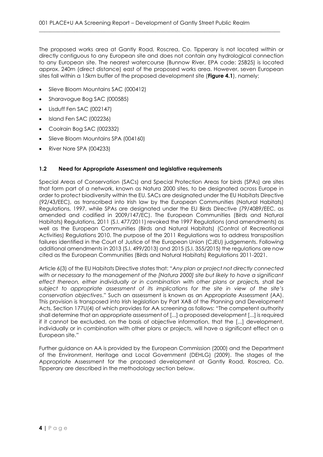The proposed works area at Gantly Road, Roscrea, Co. Tipperary is not located within or directly contiguous to any European site and does not contain any hydrological connection to any European site. The nearest watercourse (Bunnow River, EPA code: 25B25) is located approx. 240m (direct distance) east of the proposed works area. However, seven European sites fall within a 15km buffer of the proposed development site (**Figure 4.1**), namely;

 $\_$  , and the set of the set of the set of the set of the set of the set of the set of the set of the set of the set of the set of the set of the set of the set of the set of the set of the set of the set of the set of th

- Slieve Bloom Mountains SAC (000412)
- Sharavogue Bog SAC (000585)
- Lisduff Fen SAC (002147)
- Island Fen SAC (002236)
- Coolrain Bog SAC (002332)
- Slieve Bloom Mountains SPA (004160)
- River Nore SPA (004233)

### <span id="page-3-0"></span>**1.2 Need for Appropriate Assessment and legislative requirements**

Special Areas of Conservation (SACs) and Special Protection Areas for birds (SPAs) are sites that form part of a network, known as Natura 2000 sites, to be designated across Europe in order to protect biodiversity within the EU. SACs are designated under the EU Habitats Directive (92/43/EEC), as transcribed into Irish law by the European Communities (Natural Habitats) Regulations, 1997, while SPAs are designated under the EU Birds Directive (79/4089/EEC, as amended and codified in 2009/147/EC). The European Communities (Birds and Natural Habitats) Regulations, 2011 (S.I. 477/2011) revoked the 1997 Regulations (and amendments) as well as the European Communities (Birds and Natural Habitats) (Control of Recreational Activities) Regulations 2010. The purpose of the 2011 Regulations was to address transposition failures identified in the Court of Justice of the European Union (CJEU) judgements. Following additional amendments in 2013 (S.I. 499/2013) and 2015 (S.I. 355/2015) the regulations are now cited as the European Communities (Birds and Natural Habitats) Regulations 2011-2021.

Article 6(3) of the EU Habitats Directive states that: "*Any plan or project not directly connected with or necessary to the management of the [Natura 2000] site but likely to have a significant effect thereon, either individually or in combination with other plans or projects, shall be subject to appropriate assessment of its implications for the site in view of the site's conservation objectives*." Such an assessment is known as an Appropriate Assessment (AA). This provision is transposed into Irish legislation by Part XAB of the Planning and Development Acts, Section 177U(4) of which provides for AA screening as follows: "The competent authority shall determine that an appropriate assessment of [...] a proposed development [...] is required if it cannot be excluded, on the basis of objective information, that the [...] development, individually or in combination with other plans or projects, will have a significant effect on a European site."

Further guidance on AA is provided by the European Commission (2000) and the Department of the Environment, Heritage and Local Government (DEHLG) (2009). The stages of the Appropriate Assessment for the proposed development at Gantly Road, Roscrea, Co. Tipperary are described in the methodology section below.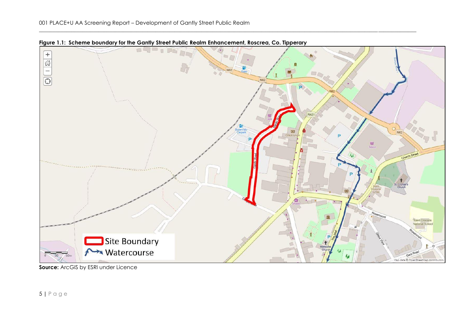



**Source:** ArcGIS by ESRI under Licence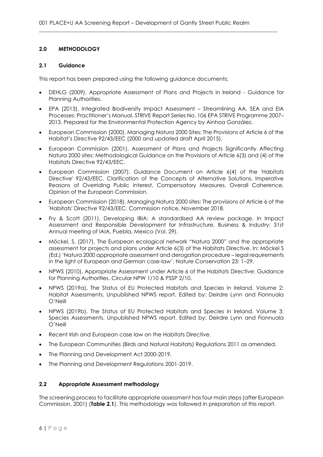## <span id="page-5-0"></span>**2.0 METHODOLOGY**

### <span id="page-5-1"></span>**2.1 Guidance**

This report has been prepared using the following guidance documents;

- DEHLG (2009). Appropriate Assessment of Plans and Projects in Ireland Guidance for Planning Authorities.
- EPA (2013). Integrated Biodiversity Impact Assessment Streamlining AA, SEA and EIA Processes: Practitioner's Manual. STRIVE Report Series No. 106 EPA STRIVE Programme 2007– 2013. Prepared for the Environmental Protection Agency by Ainhoa González.
- European Commission (2000). Managing Natura 2000 Sites: The Provisions of Article 6 of the Habitat's Directive 92/43/EEC (2000 and updated draft April 2015).
- European Commission (2001). Assessment of Plans and Projects Significantly Affecting Natura 2000 sites: Methodological Guidance on the Provisions of Article 6(3) and (4) of the Habitats Directive 92/43/EEC.
- European Commission (2007). Guidance Document on Article 6(4) of the 'Habitats Directive' 92/43/EEC. Clarification of the Concepts of Alternative Solutions, Imperative Reasons of Overriding Public Interest, Compensatory Measures, Overall Coherence. Opinion of the European Commission.
- European Commission (2018). Managing Natura 2000 sites: The provisions of Article 6 of the 'Habitats' Directive 92/43/EEC. Commission notice, November 2018.
- Fry & Scott (2011). Developing IBIA: A standardised AA review package. In Impact Assessment and Responsible Development for Infrastructure, Business & Industry: 31st Annual meeting of IAIA, Puebla, Mexico (Vol. 29).
- Möckel, S. (2017). The European ecological network "Natura 2000" and the appropriate assessment for projects and plans under Article 6(3) of the Habitats Directive. In: Möckel S (Ed.) 'Natura 2000 appropriate assessment and derogation procedure – legal requirements in the light of European and German case-law'. Nature Conservation 23: 1–29.
- NPWS (2010). Appropriate Assessment under Article 6 of the Habitats Directive: Guidance for Planning Authorities. Circular NPW 1/10 & PSSP 2/10.
- NPWS (2019a). The Status of EU Protected Habitats and Species in Ireland. Volume 2: Habitat Assessments. Unpublished NPWS report. Edited by: Deirdre Lynn and Fionnuala O'Neill
- NPWS (2019b). The Status of EU Protected Habitats and Species in Ireland. Volume 3: Species Assessments. Unpublished NPWS report. Edited by: Deirdre Lynn and Fionnuala O'Neill
- Recent Irish and European case law on the Habitats Directive.
- The European Communities (Birds and Natural Habitats) Regulations 2011 as amended.
- The Planning and Development Act 2000-2019.
- The Planning and Development Regulations 2001-2019.

### <span id="page-5-2"></span>**2.2 Appropriate Assessment methodology**

The screening process to facilitate appropriate assessment has four main steps (after European Commission, 2001) (**Table 2.1**). This methodology was followed in preparation of this report.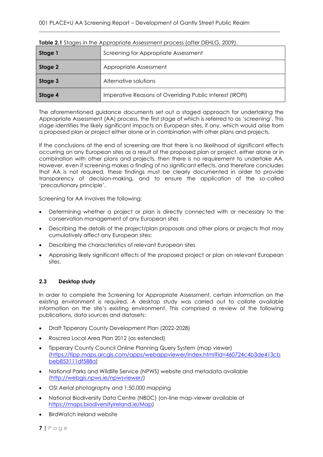| Stage 1 | Screening for Appropriate Assessment                     |  |  |  |  |  |  |
|---------|----------------------------------------------------------|--|--|--|--|--|--|
| Stage 2 | Appropriate Assessment                                   |  |  |  |  |  |  |
| Stage 3 | Alternative solutions                                    |  |  |  |  |  |  |
| Stage 4 | Imperative Reasons of Overriding Public Interest (IROPI) |  |  |  |  |  |  |

 $\_$  , and the set of the set of the set of the set of the set of the set of the set of the set of the set of the set of the set of the set of the set of the set of the set of the set of the set of the set of the set of th

| <b>Table 2.1</b> Stages in the Appropriate Assessment process (after DEHLG, 2009). |  |
|------------------------------------------------------------------------------------|--|
|                                                                                    |  |

The aforementioned guidance documents set out a staged approach for undertaking the Appropriate Assessment (AA) process, the first stage of which is referred to as 'screening'. This stage identifies the likely significant impacts on European sites, if any, which would arise from a proposed plan or project either alone or in combination with other plans and projects.

If the conclusions at the end of screening are that there is no likelihood of significant effects occurring on any European sites as a result of the proposed plan or project, either alone or in combination with other plans and projects, then there is no requirement to undertake AA. However, even if screening makes a finding of no significant effects, and therefore concludes that AA is not required, these findings must be clearly documented in order to provide transparency of decision-making, and to ensure the application of the so-called 'precautionary principle'.

Screening for AA involves the following;

- Determining whether a project or plan is directly connected with or necessary to the conservation management of any European sites
- Describing the details of the project/plan proposals and other plans or projects that may cumulatively affect any European sites;
- Describing the characteristics of relevant European sites
- Appraising likely significant effects of the proposed project or plan on relevant European sites.

## <span id="page-6-0"></span>**2.3 Desktop study**

In order to complete the Screening for Appropriate Assessment, certain information on the existing environment is required. A desktop study was carried out to collate available information on the site's existing environment. This comprised a review of the following publications, data sources and datasets:

- Draft Tipperary County Development Plan (2022-2028)
- Roscrea Local Area Plan 2012 (as extended)
- Tipperary County Council Online Planning Query System (map viewer) [\(https://tipp.maps.arcgis.com/apps/webappviewer/index.html?id=460724c4b3de413cb](https://tipp.maps.arcgis.com/apps/webappviewer/index.html?id=460724c4b3de413cbbeb853111df588a) [beb853111df588a\)](https://tipp.maps.arcgis.com/apps/webappviewer/index.html?id=460724c4b3de413cbbeb853111df588a)
- National Parks and Wildlife Service (NPWS) website and metadata available [\(http://webgis.npws.ie/npwsviewer/\)](http://webgis.npws.ie/npwsviewer/)
- OSI Aerial photography and 1:50,000 mapping
- National Biodiversity Data Centre (NBDC) (on-line map-viewer available at [https://maps.biodiversityireland.ie/Map\)](https://maps.biodiversityireland.ie/Map)
- BirdWatch Ireland website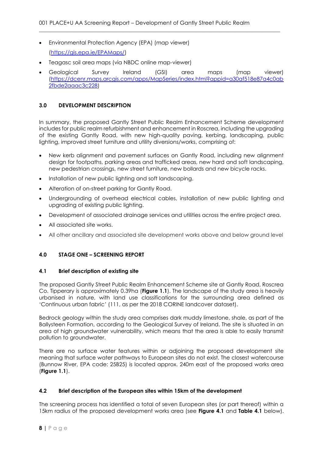- Environmental Protection Agency (EPA) (map viewer) [\(https://gis.epa.ie/EPAMaps/\)](https://gis.epa.ie/EPAMaps/)
- Teagasc soil area maps (via NBDC online map-viewer)
- Geological Survey Ireland (GSI) area maps (map viewer) [\(https://dcenr.maps.arcgis.com/apps/MapSeries/index.html?appid=a30af518e87a4c0ab](https://dcenr.maps.arcgis.com/apps/MapSeries/index.html?appid=a30af518e87a4c0ab2fbde2aaac3c228) [2fbde2aaac3c228\)](https://dcenr.maps.arcgis.com/apps/MapSeries/index.html?appid=a30af518e87a4c0ab2fbde2aaac3c228)

 $\_$  , and the set of the set of the set of the set of the set of the set of the set of the set of the set of the set of the set of the set of the set of the set of the set of the set of the set of the set of the set of th

## <span id="page-7-0"></span>**3.0 DEVELOPMENT DESCRIPTION**

In summary, the proposed Gantly Street Public Realm Enhancement Scheme development includes for public realm refurbishment and enhancement in Roscrea, including the upgrading of the existing Gantly Road, with new high-quality paving, kerbing, landscaping, public lighting, improved street furniture and utility diversions/works, comprising of:

- New kerb alignment and pavement surfaces on Gantly Road, including new alignment design for footpaths, parking areas and trafficked areas, new hard and soft landscaping, new pedestrian crossings, new street furniture, new bollards and new bicycle racks.
- Installation of new public lighting and soft landscaping.
- Alteration of on-street parking for Gantly Road.
- Undergrounding of overhead electrical cables, installation of new public lighting and upgrading of existing public lighting.
- Development of associated drainage services and utilities across the entire project area.
- All associated site works.
- All other ancillary and associated site development works above and below ground level

## <span id="page-7-1"></span>**4.0 STAGE ONE – SCREENING REPORT**

### <span id="page-7-2"></span>**4.1 Brief description of existing site**

The proposed Gantly Street Public Realm Enhancement Scheme site at Gantly Road, Roscrea Co. Tipperary is approximately 0.39ha (**Figure 1.1**). The landscape of the study area is heavily urbanised in nature, with land use classifications for the surrounding area defined as 'Continuous urban fabric' (111, as per the 2018 CORINE landcover dataset).

Bedrock geology within the study area comprises dark muddy limestone, shale, as part of the Ballysteen Formation, according to the Geological Survey of Ireland. The site is situated in an area of high groundwater vulnerability, which means that the area is able to easily transmit pollution to groundwater.

There are no surface water features within or adjoining the proposed development site meaning that surface water pathways to European sites do not exist. The closest watercourse (Bunnow River, EPA code: 25B25) is located approx. 240m east of the proposed works area (**Figure 1.1**).

### <span id="page-7-3"></span>**4.2 Brief description of the European sites within 15km of the development**

The screening process has identified a total of seven European sites (or part thereof) within a 15km radius of the proposed development works area (see **Figure 4.1** and **Table 4.1** below).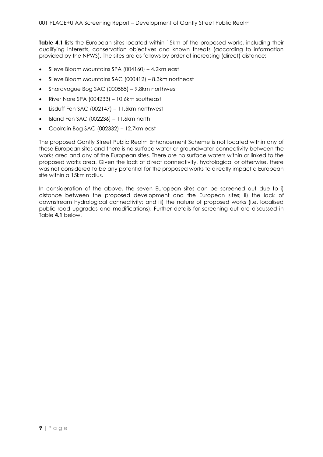**Table 4.1** lists the European sites located within 15km of the proposed works, including their qualifying interests, conservation objectives and known threats (according to information provided by the NPWS). The sites are as follows by order of increasing (direct) distance;

 $\_$  , and the set of the set of the set of the set of the set of the set of the set of the set of the set of the set of the set of the set of the set of the set of the set of the set of the set of the set of the set of th

- Slieve Bloom Mountains SPA (004160) 4.2km east
- Slieve Bloom Mountains SAC (000412) 8.3km northeast
- Sharavogue Bog SAC (000585) 9.8km northwest
- River Nore SPA (004233) 10.6km southeast
- Lisduff Fen SAC (002147) 11.5km northwest
- Island Fen SAC (002236) 11.6km north
- Coolrain Bog SAC (002332) 12.7km east

The proposed Gantly Street Public Realm Enhancement Scheme is not located within any of these European sites and there is no surface water or groundwater connectivity between the works area and any of the European sites. There are no surface waters within or linked to the proposed works area. Given the lack of direct connectivity, hydrological or otherwise, there was not considered to be any potential for the proposed works to directly impact a European site within a 15km radius.

In consideration of the above, the seven European sites can be screened out due to i) distance between the proposed development and the European sites; ii) the lack of downstream hydrological connectivity; and iii) the nature of proposed works (i.e. localised public road upgrades and modifications). Further details for screening out are discussed in Table **4.1** below.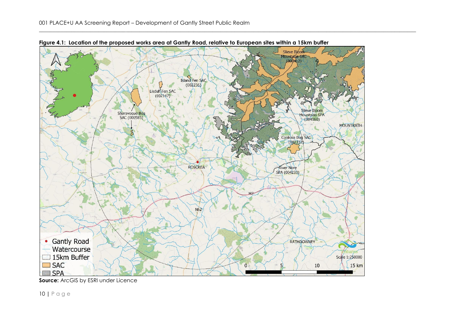

**Figure 4.1: Location of the proposed works area at Gantly Road, relative to European sites within a 15km buffer**

**Source:** ArcGIS by ESRI under Licence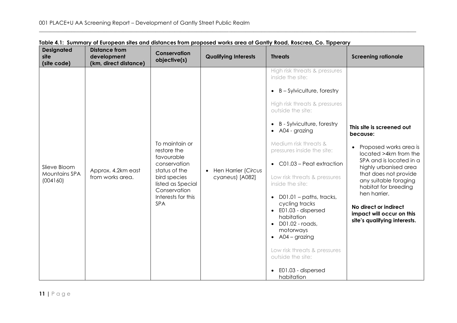| <b>Designated</b><br>site<br>(site code)  | <b>Distance from</b><br>development<br>(km, direct distance) | Conservation<br>objective(s)                                                                                                                                          | <b>Qualifying Interests</b>              | <b>Threats</b>                                                                                                                                                                                                                                                                                                                                                                                                                                                                                                                                                                                                                                                | <b>Screening rationale</b>                                                                                                                                                                                                                                                                                                                |
|-------------------------------------------|--------------------------------------------------------------|-----------------------------------------------------------------------------------------------------------------------------------------------------------------------|------------------------------------------|---------------------------------------------------------------------------------------------------------------------------------------------------------------------------------------------------------------------------------------------------------------------------------------------------------------------------------------------------------------------------------------------------------------------------------------------------------------------------------------------------------------------------------------------------------------------------------------------------------------------------------------------------------------|-------------------------------------------------------------------------------------------------------------------------------------------------------------------------------------------------------------------------------------------------------------------------------------------------------------------------------------------|
| Slieve Bloom<br>Mountains SPA<br>(004160) | Approx. 4.2km east<br>from works area.                       | To maintain or<br>restore the<br>favourable<br>conservation<br>status of the<br>bird species<br>listed as Special<br>Conservation<br>Interests for this<br><b>SPA</b> | • Hen Harrier (Circus<br>cyaneus) [A082] | High risk threats & pressures<br>inside the site:<br>B - Sylviculture, forestry<br>$\bullet$<br>High risk threats & pressures<br>outside the site:<br>B - Sylviculture, forestry<br>$\bullet$<br>A04 - grazing<br>$\bullet$<br>Medium risk threats &<br>pressures inside the site:<br>C01.03 - Peat extraction<br>$\bullet$<br>Low risk threats & pressures<br>inside the site:<br>D01.01 - paths, tracks,<br>$\bullet$<br>cycling tracks<br>• E01.03 - dispersed<br>habitation<br>D01.02 - roads,<br>$\bullet$<br>motorways<br>$\bullet$ A04 – grazing<br>Low risk threats & pressures<br>outside the site:<br>E01.03 - dispersed<br>$\bullet$<br>habitation | This site is screened out<br>because:<br>Proposed works area is<br>$\bullet$<br>located >4km from the<br>SPA and is located in a<br>highly urbanised area<br>that does not provide<br>any suitable foraging<br>habitat for breeding<br>hen harrier.<br>No direct or indirect<br>impact will occur on this<br>site's qualifying interests. |

|  |  |  | Table 4.1: Summary of European sites and distances from proposed works area at Gantly Road, Roscrea, Co. Tipperary |  |  |
|--|--|--|--------------------------------------------------------------------------------------------------------------------|--|--|
|--|--|--|--------------------------------------------------------------------------------------------------------------------|--|--|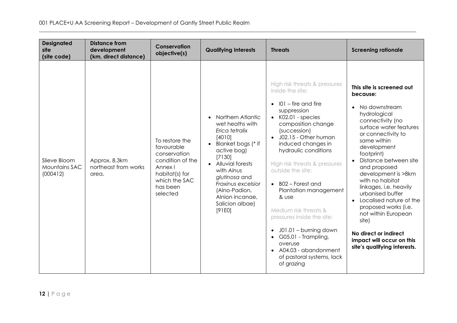| <b>Designated</b><br>site<br>(site code)  | <b>Distance from</b><br>development<br>(km, direct distance) | <b>Conservation</b><br>objective(s)                                                                                                    | <b>Qualifying Interests</b>                                                                                                                                                                                                                                                                  | <b>Threats</b>                                                                                                                                                                                                                                                                                                                                                                                                                                                                                                                                                                                          | <b>Screening rationale</b>                                                                                                                                                                                                                                                                                                                                                                                                                                                                                                 |
|-------------------------------------------|--------------------------------------------------------------|----------------------------------------------------------------------------------------------------------------------------------------|----------------------------------------------------------------------------------------------------------------------------------------------------------------------------------------------------------------------------------------------------------------------------------------------|---------------------------------------------------------------------------------------------------------------------------------------------------------------------------------------------------------------------------------------------------------------------------------------------------------------------------------------------------------------------------------------------------------------------------------------------------------------------------------------------------------------------------------------------------------------------------------------------------------|----------------------------------------------------------------------------------------------------------------------------------------------------------------------------------------------------------------------------------------------------------------------------------------------------------------------------------------------------------------------------------------------------------------------------------------------------------------------------------------------------------------------------|
| Slieve Bloom<br>Mountains SAC<br>(000412) | Approx. 8.3km<br>northeast from works<br>area.               | To restore the<br>favourable<br>conservation<br>condition of the<br>Annex I<br>habitat(s) for<br>which the SAC<br>has been<br>selected | Northern Atlantic<br>wet heaths with<br>Erica tetralix<br>[4010]<br>Blanket bogs (* if<br>$\bullet$<br>active bog)<br>[7130]<br><b>Alluvial forests</b><br>$\bullet$<br>with Alnus<br>glutinosa and<br>Fraxinus excelsior<br>(Alno-Padion,<br>Alnion incanae,<br>Salicion albae)<br>$[91E0]$ | High risk threats & pressures<br>inside the site:<br>$101 -$ fire and fire<br>$\bullet$<br>suppression<br>$\bullet$ K02.01 - species<br>composition change<br>(succession)<br>J02.15 - Other human<br>$\bullet$<br>induced changes in<br>hydraulic conditions<br>High risk threats & pressures<br>outside the site:<br>B02 – Forest and<br>$\bullet$<br>Plantation management<br>& use<br>Medium risk threats &<br>pressures inside the site:<br>J01.01 - burning down<br>$\bullet$<br>G05.01 - Trampling,<br>$\bullet$<br>overuse<br>• A04.03 - abandonment<br>of pastoral systems, lack<br>of grazing | This site is screened out<br>because:<br>No downstream<br>$\bullet$<br>hydrological<br>connectivity (no<br>surface water features<br>or connectivity to<br>same within<br>development<br>footprint)<br>Distance between site<br>and proposed<br>development is >8km<br>with no habitat<br>linkages, i.e. heavily<br>urbanised buffer<br>Localised nature of the<br>$\bullet$<br>proposed works (i.e.<br>not within European<br>site)<br>No direct or indirect<br>impact will occur on this<br>site's qualifying interests. |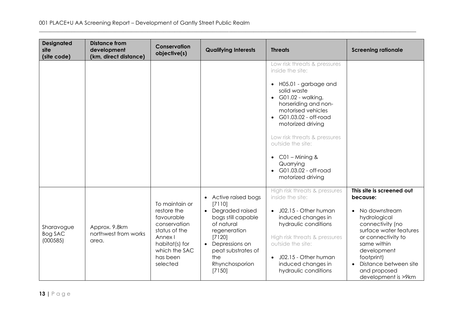| <b>Designated</b><br>site<br>(site code) | <b>Distance from</b><br>development<br>(km, direct distance) | Conservation<br>objective(s)                                                                                                                       | <b>Qualifying Interests</b>                                                                                                                                                                                          | <b>Threats</b>                                                                                                                                                                                                                                                                                                                                                                   | <b>Screening rationale</b>                                                                                                                                                                                                                                                       |
|------------------------------------------|--------------------------------------------------------------|----------------------------------------------------------------------------------------------------------------------------------------------------|----------------------------------------------------------------------------------------------------------------------------------------------------------------------------------------------------------------------|----------------------------------------------------------------------------------------------------------------------------------------------------------------------------------------------------------------------------------------------------------------------------------------------------------------------------------------------------------------------------------|----------------------------------------------------------------------------------------------------------------------------------------------------------------------------------------------------------------------------------------------------------------------------------|
|                                          |                                                              |                                                                                                                                                    |                                                                                                                                                                                                                      | Low risk threats & pressures<br>inside the site:<br>• H05.01 - garbage and<br>solid waste<br>$\bullet$ G01.02 - walking,<br>horseriding and non-<br>motorised vehicles<br>G01.03.02 - off-road<br>$\bullet$<br>motorized driving<br>Low risk threats & pressures<br>outside the site:<br>$CO1 -$ Mining &<br>$\bullet$<br>Quarrying<br>G01.03.02 - off-road<br>motorized driving |                                                                                                                                                                                                                                                                                  |
| Sharavogue<br>Bog SAC<br>(000585)        | Approx. 9.8km<br>northwest from works<br>area.               | To maintain or<br>restore the<br>favourable<br>conservation<br>status of the<br>Annex I<br>habitat(s) for<br>which the SAC<br>has been<br>selected | • Active raised bogs<br>[7110]<br>Degraded raised<br>$\bullet$<br>bogs still capable<br>of natural<br>regeneration<br>[7120]<br>Depressions on<br>$\bullet$<br>peat substrates of<br>the<br>Rhynchosporion<br>[7150] | High risk threats & pressures<br>inside the site:<br>J02.15 - Other human<br>$\bullet$<br>induced changes in<br>hydraulic conditions<br>High risk threats & pressures<br>outside the site:<br>J02.15 - Other human<br>$\bullet$<br>induced changes in<br>hydraulic conditions                                                                                                    | This site is screened out<br>because:<br>No downstream<br>$\bullet$<br>hydrological<br>connectivity (no<br>surface water features<br>or connectivity to<br>same within<br>development<br>footprint)<br>Distance between site<br>$\bullet$<br>and proposed<br>development is >9km |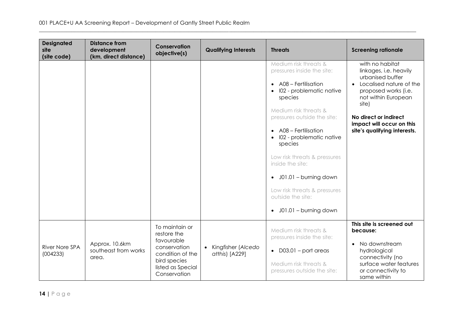| <b>Designated</b><br>site<br>(site code) | <b>Distance from</b><br>development<br>(km, direct distance) | Conservation<br>objective(s)                                                                                                         | <b>Qualifying Interests</b>                       | <b>Threats</b>                                                                                                                                                                                                                                                                                                                                                                                                                                                      | <b>Screening rationale</b>                                                                                                                                                                                                                          |
|------------------------------------------|--------------------------------------------------------------|--------------------------------------------------------------------------------------------------------------------------------------|---------------------------------------------------|---------------------------------------------------------------------------------------------------------------------------------------------------------------------------------------------------------------------------------------------------------------------------------------------------------------------------------------------------------------------------------------------------------------------------------------------------------------------|-----------------------------------------------------------------------------------------------------------------------------------------------------------------------------------------------------------------------------------------------------|
|                                          |                                                              |                                                                                                                                      |                                                   | Medium risk threats &<br>pressures inside the site:<br>A08 - Fertilisation<br>$\bullet$<br>102 - problematic native<br>$\bullet$<br>species<br>Medium risk threats &<br>pressures outside the site:<br>A08 - Fertilisation<br>$\bullet$<br>102 - problematic native<br>species<br>Low risk threats & pressures<br>inside the site:<br>J01.01 - burning down<br>$\bullet$<br>Low risk threats & pressures<br>outside the site:<br>J01.01 - burning down<br>$\bullet$ | with no habitat<br>linkages, i.e. heavily<br>urbanised buffer<br>Localised nature of the<br>$\bullet$<br>proposed works (i.e.<br>not within European<br>site)<br>No direct or indirect<br>impact will occur on this<br>site's qualifying interests. |
| <b>River Nore SPA</b><br>(004233)        | Approx. 10.6km<br>southeast from works<br>area.              | To maintain or<br>restore the<br>favourable<br>conservation<br>condition of the<br>bird species<br>listed as Special<br>Conservation | Kingfisher (Alcedo<br>$\bullet$<br>atthis) [A229] | Medium risk threats &<br>pressures inside the site:<br>$D03.01 - port$ areas<br>$\bullet$<br>Medium risk threats &<br>pressures outside the site:                                                                                                                                                                                                                                                                                                                   | This site is screened out<br>because:<br>No downstream<br>$\bullet$<br>hydrological<br>connectivity (no<br>surface water features<br>or connectivity to<br>same within                                                                              |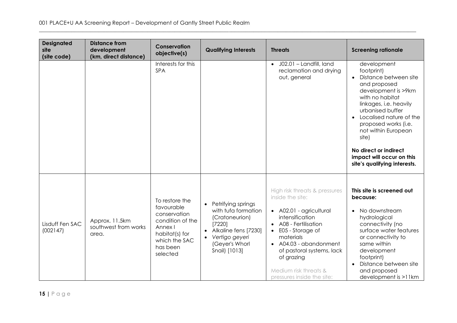| <b>Designated</b><br>site<br>(site code) | <b>Distance from</b><br>development<br>(km, direct distance) | Conservation<br>objective(s)                                                                                                           | <b>Qualifying Interests</b>                                                                                                                                                               | <b>Threats</b>                                                                                                                                                                                                                                                                                   | <b>Screening rationale</b>                                                                                                                                                                                                                                                                                                          |
|------------------------------------------|--------------------------------------------------------------|----------------------------------------------------------------------------------------------------------------------------------------|-------------------------------------------------------------------------------------------------------------------------------------------------------------------------------------------|--------------------------------------------------------------------------------------------------------------------------------------------------------------------------------------------------------------------------------------------------------------------------------------------------|-------------------------------------------------------------------------------------------------------------------------------------------------------------------------------------------------------------------------------------------------------------------------------------------------------------------------------------|
|                                          |                                                              | Interests for this<br>SPA                                                                                                              |                                                                                                                                                                                           | J02.01 - Landfill, land<br>$\bullet$<br>reclamation and drying<br>out, general                                                                                                                                                                                                                   | development<br>footprint)<br>Distance between site<br>and proposed<br>development is >9km<br>with no habitat<br>linkages, i.e. heavily<br>urbanised buffer<br>Localised nature of the<br>proposed works (i.e.<br>not within European<br>site)<br>No direct or indirect<br>impact will occur on this<br>site's qualifying interests. |
| Lisduff Fen SAC<br>(002147)              | Approx. 11.5km<br>southwest from works<br>area.              | To restore the<br>favourable<br>conservation<br>condition of the<br>Annex I<br>habitat(s) for<br>which the SAC<br>has been<br>selected | Petrifying springs<br>$\bullet$<br>with tufa formation<br>(Cratoneurion)<br>[7220]<br>Alkaline fens [7230]<br>$\bullet$<br>Vertigo geyeri<br>$\bullet$<br>(Geyer's Whorl<br>Snail) [1013] | High risk threats & pressures<br>inside the site:<br>• A02.01 - agricultural<br>intensification<br>A08 - Fertilisation<br>E05 - Storage of<br>$\bullet$<br>materials<br>• A04.03 - abandonment<br>of pastoral systems, lack<br>of grazing<br>Medium risk threats &<br>pressures inside the site: | This site is screened out<br>because:<br>No downstream<br>hydrological<br>connectivity (no<br>surface water features<br>or connectivity to<br>same within<br>development<br>footprint)<br>Distance between site<br>and proposed<br>$development$ is $>11km$                                                                         |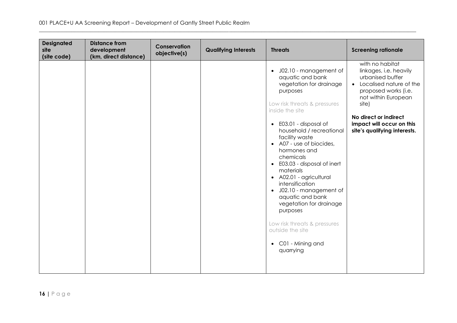| <b>Designated</b><br>site<br>(site code) | <b>Distance from</b><br>development<br>(km, direct distance) | Conservation<br>objective(s) | <b>Qualifying Interests</b> | <b>Threats</b>                                                                                                                                                                                                                                                                                                                                                                                                                                                                                                                                                                               | <b>Screening rationale</b>                                                                                                                                                                                                                          |
|------------------------------------------|--------------------------------------------------------------|------------------------------|-----------------------------|----------------------------------------------------------------------------------------------------------------------------------------------------------------------------------------------------------------------------------------------------------------------------------------------------------------------------------------------------------------------------------------------------------------------------------------------------------------------------------------------------------------------------------------------------------------------------------------------|-----------------------------------------------------------------------------------------------------------------------------------------------------------------------------------------------------------------------------------------------------|
|                                          |                                                              |                              |                             | J02.10 - management of<br>$\bullet$<br>aquatic and bank<br>vegetation for drainage<br>purposes<br>Low risk threats & pressures<br>inside the site<br>E03.01 - disposal of<br>$\bullet$<br>household / recreational<br>facility waste<br>• A07 - use of biocides,<br>hormones and<br>chemicals<br>E03.03 - disposal of inert<br>$\bullet$<br>materials<br>• A02.01 - agricultural<br>intensification<br>• J02.10 - management of<br>aquatic and bank<br>vegetation for drainage<br>purposes<br>Low risk threats & pressures<br>outside the site<br>C01 - Mining and<br>$\bullet$<br>quarrying | with no habitat<br>linkages, i.e. heavily<br>urbanised buffer<br>Localised nature of the<br>$\bullet$<br>proposed works (i.e.<br>not within European<br>site)<br>No direct or indirect<br>impact will occur on this<br>site's qualifying interests. |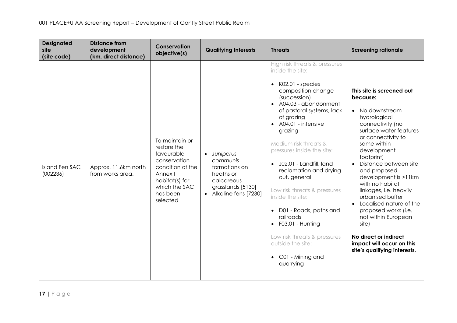| <b>Designated</b><br>site<br>(site code) | <b>Distance from</b><br>development<br>(km, direct distance) | Conservation<br>objective(s)                                                                                                                          | <b>Qualifying Interests</b>                                                                                        | <b>Threats</b>                                                                                                                                                                                                                                                                                                                                                                                                                                                                                                                                                                                         | <b>Screening rationale</b>                                                                                                                                                                                                                                                                                                                                                                                                                                                                                                  |
|------------------------------------------|--------------------------------------------------------------|-------------------------------------------------------------------------------------------------------------------------------------------------------|--------------------------------------------------------------------------------------------------------------------|--------------------------------------------------------------------------------------------------------------------------------------------------------------------------------------------------------------------------------------------------------------------------------------------------------------------------------------------------------------------------------------------------------------------------------------------------------------------------------------------------------------------------------------------------------------------------------------------------------|-----------------------------------------------------------------------------------------------------------------------------------------------------------------------------------------------------------------------------------------------------------------------------------------------------------------------------------------------------------------------------------------------------------------------------------------------------------------------------------------------------------------------------|
| <b>Island Fen SAC</b><br>(002236)        | Approx. 11.6km north<br>from works area.                     | To maintain or<br>restore the<br>favourable<br>conservation<br>condition of the<br>Annex I<br>habitat(s) for<br>which the SAC<br>has been<br>selected | · Juniperus<br>communis<br>formations on<br>heaths or<br>calcareous<br>grasslands [5130]<br>• Alkaline fens [7230] | High risk threats & pressures<br>inside the site:<br>K02.01 - species<br>$\bullet$<br>composition change<br>(succession)<br>• A04.03 - abandonment<br>of pastoral systems, lack<br>of grazing<br>A04.01 - intensive<br>grazing<br>Medium risk threats &<br>pressures inside the site:<br>J02.01 - Landfill, land<br>reclamation and drying<br>out, general<br>Low risk threats & pressures<br>inside the site:<br>D01 - Roads, paths and<br>$\bullet$<br>railroads<br>F03.01 - Hunting<br>$\bullet$<br>Low risk threats & pressures<br>outside the site:<br>C01 - Mining and<br>$\bullet$<br>quarrying | This site is screened out<br>because:<br>No downstream<br>$\bullet$<br>hydrological<br>connectivity (no<br>surface water features<br>or connectivity to<br>same within<br>development<br>footprint)<br>Distance between site<br>and proposed<br>development is >11km<br>with no habitat<br>linkages, i.e. heavily<br>urbanised buffer<br>Localised nature of the<br>$\bullet$<br>proposed works (i.e.<br>not within European<br>site)<br>No direct or indirect<br>impact will occur on this<br>site's qualifying interests. |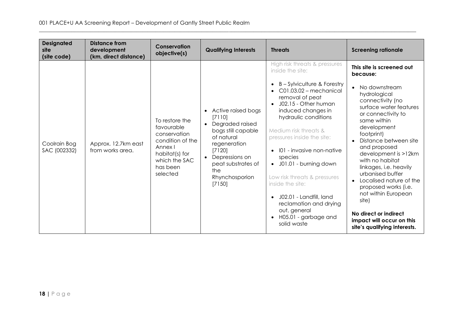| <b>Designated</b><br>site<br>(site code) | <b>Distance from</b><br>development<br>(km, direct distance) | Conservation<br>objective(s)                                                                                                           | <b>Qualifying Interests</b>                                                                                                                                                                                                     | <b>Threats</b>                                                                                                                                                                                                                                                                                                                                                                                                                                                                                                                                                                           | <b>Screening rationale</b>                                                                                                                                                                                                                                                                                                                                                                                                                                                                        |
|------------------------------------------|--------------------------------------------------------------|----------------------------------------------------------------------------------------------------------------------------------------|---------------------------------------------------------------------------------------------------------------------------------------------------------------------------------------------------------------------------------|------------------------------------------------------------------------------------------------------------------------------------------------------------------------------------------------------------------------------------------------------------------------------------------------------------------------------------------------------------------------------------------------------------------------------------------------------------------------------------------------------------------------------------------------------------------------------------------|---------------------------------------------------------------------------------------------------------------------------------------------------------------------------------------------------------------------------------------------------------------------------------------------------------------------------------------------------------------------------------------------------------------------------------------------------------------------------------------------------|
| Coolrain Bog<br>SAC (002332)             | Approx. 12.7km east<br>from works area.                      | To restore the<br>favourable<br>conservation<br>condition of the<br>Annex I<br>habitat(s) for<br>which the SAC<br>has been<br>selected | Active raised bogs<br>$\bullet$<br>[7110]<br>Degraded raised<br>$\bullet$<br>bogs still capable<br>of natural<br>regeneration<br>[7120]<br>Depressions on<br>$\bullet$<br>peat substrates of<br>the<br>Rhynchosporion<br>[7150] | High risk threats & pressures<br>inside the site:<br>B - Sylviculture & Forestry<br>$\bullet$<br>$C01.03.02$ – mechanical<br>$\bullet$<br>removal of peat<br>J02.15 - Other human<br>$\bullet$<br>induced changes in<br>hydraulic conditions<br>Medium risk threats &<br>pressures inside the site:<br>101 - invasive non-native<br>$\bullet$<br>species<br>J01.01 - burning down<br>$\bullet$<br>Low risk threats & pressures<br>inside the site:<br>J02.01 - Landfill, land<br>$\bullet$<br>reclamation and drying<br>out, general<br>H05.01 - garbage and<br>$\bullet$<br>solid waste | This site is screened out<br>because:<br>No downstream<br>hydrological<br>connectivity (no<br>surface water features<br>or connectivity to<br>same within<br>development<br>footprint)<br>Distance between site<br>and proposed<br>development is >12km<br>with no habitat<br>linkages, i.e. heavily<br>urbanised buffer<br>Localised nature of the<br>proposed works (i.e.<br>not within European<br>site)<br>No direct or indirect<br>impact will occur on this<br>site's qualifying interests. |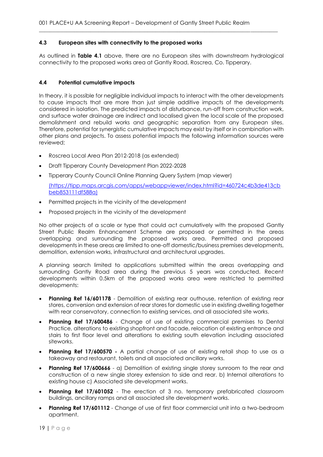### <span id="page-18-0"></span>**4.3 European sites with connectivity to the proposed works**

As outlined in **Table 4.1** above, there are no European sites with downstream hydrological connectivity to the proposed works area at Gantly Road, Roscrea, Co. Tipperary.

 $\_$  , and the set of the set of the set of the set of the set of the set of the set of the set of the set of the set of the set of the set of the set of the set of the set of the set of the set of the set of the set of th

#### <span id="page-18-1"></span>**4.4 Potential cumulative impacts**

In theory, it is possible for negligible individual impacts to interact with the other developments to cause impacts that are more than just simple additive impacts of the developments considered in isolation. The predicted impacts of disturbance, run-off from construction work, and surface water drainage are indirect and localised given the local scale of the proposed demolishment and rebuild works and geographic separation from any European sites. Therefore, potential for synergistic cumulative impacts may exist by itself or in combination with other plans and projects. To assess potential impacts the following information sources were reviewed;

- Roscrea Local Area Plan 2012-2018 (as extended)
- Draft Tipperary County Development Plan 2022-2028
- Tipperary County Council Online Planning Query System (map viewer)

(https://tipp.maps.arcgis.com/apps/webappviewer/index.html?id=460724c4b3de413cb beb853111df588a)

- Permitted projects in the vicinity of the development
- Proposed projects in the vicinity of the development

No other projects of a scale or type that could act cumulatively with the proposed Gantly Street Public Realm Enhancement Scheme are proposed or permitted in the areas overlapping and surrounding the proposed works area. Permitted and proposed developments in these areas are limited to one-off domestic/business premises developments, demolition, extension works, infrastructural and architectural upgrades.

A planning search limited to applications submitted within the areas overlapping and surrounding Gantly Road area during the previous 5 years was conducted. Recent developments within 0.5km of the proposed works area were restricted to permitted developments:

- **Planning Ref 16/601178** Demolition of existing rear outhouse, retention of existing rear stores, conversion and extension of rear stores for domestic use in existing dwelling together with rear conservatory, connection to existing services, and all associated site works.
- **Planning Ref 17/600486**  Change of use of existing commercial premises to Dental Practice, alterations to existing shopfront and facade, relocation of existing entrance and stairs to first floor level and alterations to existing south elevation including associated siteworks.
- **Planning Ref 17/600570 -** A partial change of use of existing retail shop to use as a takeaway and restaurant, toilets and all associated ancillary works.
- **Planning Ref 17/600666** a) Demolition of existing single storey sunroom to the rear and construction of a new single storey extension to side and rear. b) Internal alterations to existing house c) Associated site development works.
- **Planning Ref 17/601052**  The erection of 3 no. temporary prefabricated classroom buildings, ancillary ramps and all associated site development works.
- **Planning Ref 17/601112** Change of use of first floor commercial unit into a two-bedroom apartment.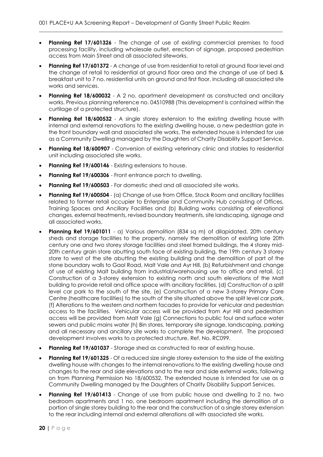• **Planning Ref 17/601326** - The change of use of existing commercial premises to food processing facility, including wholesale outlet, erection of signage, proposed pedestrian access from Main Street and all associated siteworks.

- **Planning Ref 17/601372**  A change of use from residential to retail at ground floor level and the change of retail to residential at ground floor area and the change of use of bed & breakfast unit to 7 no. residential units on ground and first floor, including all associated site works and services.
- **Planning Ref 18/600032** A 2 no. apartment development as constructed and ancillary works. Previous planning reference no. 04510988 (This development is contained within the curtilage of a protected structure).
- **Planning Ref 18/600532**  A single storey extension to the existing dwelling house with internal and external renovations to the existing dwelling house, a new pedestrian gate in the front boundary wall and associated site works. The extended house is intended for use as a Community Dwelling managed by the Daughters of Charity Disability Support Service.
- **Planning Ref 18/600907** Conversion of existing veterinary clinic and stables to residential unit including associated site works.
- **Planning Ref 19/600146** Existing extensions to house.
- **Planning Ref 19/600306**  Front entrance porch to dwelling.
- **Planning Ref 19/600503**  For domestic shed and all associated site works.
- **Planning Ref 19/600504**  (a) Change of use from Office, Stock Room and ancillary facilities related to former retail occupier to Enterprise and Community Hub consisting of Offices, Training Spaces and Ancillary Facilities and (b) Building works consisting of elevational changes, external treatments, revised boundary treatments, site landscaping, signage and all associated works.
- **Planning Ref 19/601011**  a) Various demolition (834 sq m) of dilapidated, 20th century sheds and storage facilities to the property, namely the demolition of existing late 20th century one and two storey storage facilities and steel framed buildings, the 4 storey mid-20th century grain store abutting south face of existing building, the 19th century 3 storey store to west of the site abutting the existing building and the demolition of part of the stone boundary walls to Gaol Road, Malt Vale and Ayr Hill, (b) Refurbishment and change of use of existing Malt building from industrial/warehousing use to office and retail, (c) Construction of a 3-storey extension to existing north and south elevations of the Malt building to provide retail and office space with ancillary facilities, (d) Construction of a split level car park to the south of the site, (e) Construction of a new 3-storey Primary Care Centre (healthcare facilities) to the south of the site situated above the split level car park, (f) Alterations to the western and northern facades to provide for vehicular and pedestrian access to the facilities. Vehicular access will be provided from Ayr Hill and pedestrian access will be provided from Malt Vale (g) Connections to public foul and surface water sewers and public mains water (h) Bin stores, temporary site signage, landscaping, parking and all necessary and ancillary site works to complete the development. The proposed development involves works to a protected structure, Ref. No. RC099.
- **Planning Ref 19/601037** Storage shed as constructed to rear of existing house.
- **Planning Ref 19/601325**  Of a reduced size single storey extension to the side of the existing dwelling house with changes to the internal renovations to the existing dwelling house and changes to the rear and side elevations and to the rear and side external works, following on from Planning Permission No 18/600532. The extended house is intended for use as a Community Dwelling managed by the Daughters of Charity Disability Support Services.
- **Planning Ref 19/601413**  Change of use from public house and dwelling to 2 no. two bedroom apartments and 1 no. one bedroom apartment including the demolition of a portion of single storey building to the rear and the construction of a single storey extension to the rear including internal and external alterations all with associated site works.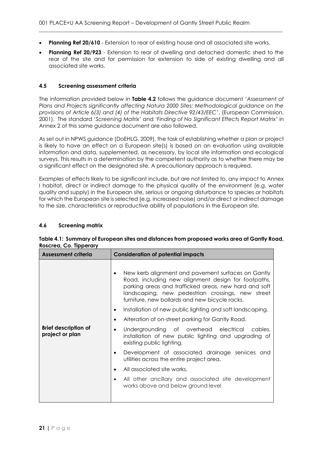- **Planning Ref 20/610**  Extension to rear of existing house and all associated site works.
- **Planning Ref 20/923**  Extension to rear of dwelling and detached domestic shed to the rear of the site and for permission for extension to side of existing dwelling and all associated site works.

## <span id="page-20-0"></span>**4.5 Screening assessment criteria**

The information provided below in **Table 4.2** follows the guidance document '*Assessment of Plans and Projects significantly affecting Natura 2000 Sites: Methodological guidance on the provisions of Article 6(3) and (4) of the Habitats Directive 92/43/EEC*', (European Commission, 2001). The standard '*Screening Matrix'* and '*Finding of No Significant Effects Report Matrix'* in Annex 2 of this same guidance document are also followed.

As set out in NPWS guidance (DoEHLG, 2009), the task of establishing whether a plan or project is likely to have an effect on a European site(s) is based on an evaluation using available information and data, supplemented, as necessary, by local site information and ecological surveys. This results in a determination by the competent authority as to whether there may be a significant effect on the designated site. A precautionary approach is required.

Examples of effects likely to be significant include, but are not limited to, any impact to Annex I habitat, direct or indirect damage to the physical quality of the environment (e.g. water quality and supply) in the European site, serious or ongoing disturbance to species or habitats for which the European site is selected (e.g. increased noise) and/or direct or indirect damage to the size, characteristics or reproductive ability of populations in the European site.

### <span id="page-20-1"></span>**4.6 Screening matrix**

| <b>Assessment criteria</b>                     | <b>Consideration of potential impacts</b>                                                                                                                                                                                                                                 |
|------------------------------------------------|---------------------------------------------------------------------------------------------------------------------------------------------------------------------------------------------------------------------------------------------------------------------------|
| <b>Brief description of</b><br>project or plan | New kerb alignment and pavement surfaces on Gantly<br>Road, including new alignment design for footpaths,<br>parking areas and trafficked areas, new hard and soft<br>landscaping, new pedestrian crossings, new street<br>furniture, new bollards and new bicycle racks. |
|                                                | Installation of new public lighting and soft landscaping.<br>$\bullet$<br>Alteration of on-street parking for Gantly Road.<br>$\bullet$                                                                                                                                   |
|                                                | Undergrounding of overhead electrical cables,<br>$\bullet$<br>installation of new public lighting and upgrading of<br>existing public lighting.                                                                                                                           |
|                                                | Development of associated drainage services and<br>$\bullet$<br>utilities across the entire project area.                                                                                                                                                                 |
|                                                | All associated site works.<br>٠                                                                                                                                                                                                                                           |
|                                                | All other ancillary and associated site development<br>works above and below ground level                                                                                                                                                                                 |

**Table 4.1: Summary of European sites and distances from proposed works area at Gantly Road, Roscrea, Co. Tipperary**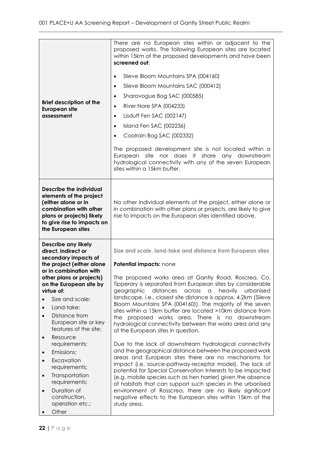| <b>Brief description of the</b><br><b>European site</b><br>assessment                                                                                                                                                                                                                                                              | There are no European sites within or adjacent to the<br>proposed works. The following European sites are located<br>within 15km of the proposed developments and have been<br>screened out:<br>Slieve Bloom Mountains SPA (004160)<br>$\bullet$<br>Slieve Bloom Mountains SAC (000412)<br>$\bullet$<br>Sharavogue Bog SAC (000585)<br>$\bullet$<br>River Nore SPA (004233)<br>$\bullet$<br>Lisduff Fen SAC (002147)<br>$\bullet$<br>Island Fen SAC (002236)<br>$\bullet$<br>Coolrain Bog SAC (002332)<br>$\bullet$<br>The proposed development site is not located within a<br>nor does it share any downstream<br>European<br>site<br>hydrological connectivity with any of the seven European<br>sites within a 15km buffer. |
|------------------------------------------------------------------------------------------------------------------------------------------------------------------------------------------------------------------------------------------------------------------------------------------------------------------------------------|---------------------------------------------------------------------------------------------------------------------------------------------------------------------------------------------------------------------------------------------------------------------------------------------------------------------------------------------------------------------------------------------------------------------------------------------------------------------------------------------------------------------------------------------------------------------------------------------------------------------------------------------------------------------------------------------------------------------------------|
| <b>Describe the individual</b><br>elements of the project<br>(either alone or in<br>combination with other<br>plans or projects) likely<br>to give rise to impacts on<br>the European sites                                                                                                                                        | No other individual elements of the project, either alone or<br>in combination with other plans or projects, are likely to give<br>rise to impacts on the European sites identified above.                                                                                                                                                                                                                                                                                                                                                                                                                                                                                                                                      |
| <b>Describe any likely</b><br>direct, indirect or<br>secondary impacts of<br>the project (either alone<br>or in combination with<br>other plans or projects)<br>on the European site by<br>virtue of:<br>Size and scale;<br>Land-take;<br>$\bullet$<br>Distance from<br>$\bullet$<br>European site or key<br>features of the site; | Size and scale, land-take and distance from European sites<br>Potential impacts: none<br>The proposed works area at Gantly Road, Roscrea, Co.<br>Tipperary is separated from European sites by considerable<br>geographic distances<br>across<br>heavily<br>urbanised<br>$\alpha$<br>landscape, i.e., closest site distance is approx. 4.2km (Slieve<br>Bloom Mountains SPA (004160)). The majority of the seven<br>sites within a 15km buffer are located >10km distance from<br>proposed works area. There is no downstream<br>the l<br>hydrological connectivity between the works area and any<br>of the European sites in question.                                                                                        |
| Resource<br>$\bullet$<br>requirements;<br>Emissions;<br>$\bullet$<br>Excavation<br>$\bullet$<br>requirements;<br>Transportation<br>$\bullet$<br>requirements;<br>Duration of<br>$\bullet$<br>construction,<br>operation etc.;<br>Other                                                                                             | Due to the lack of downstream hydrological connectivity<br>and the geographical distance between the proposed work<br>areas and European sites there are no mechanisms for<br>impact (i.e. source-pathway-receptor model). The lack of<br>potential for Special Conservation Interests to be impacted<br>(e.g. mobile species such as hen harrier) given the absence<br>of habitats that can support such species in the urbanised<br>environment of Rosscrea, there are no likely significant<br>negative effects to the European sites within 15km of the<br>study area.                                                                                                                                                      |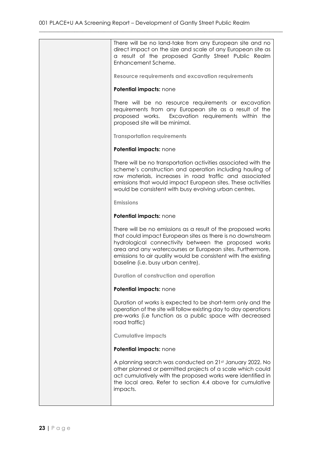| There will be no land-take from any European site and no<br>direct impact on the size and scale of any European site as<br>a result of the proposed Gantly Street Public Realm<br>Enhancement Scheme.                                                                                                                                                   |
|---------------------------------------------------------------------------------------------------------------------------------------------------------------------------------------------------------------------------------------------------------------------------------------------------------------------------------------------------------|
| <b>Resource requirements and excavation requirements</b>                                                                                                                                                                                                                                                                                                |
| Potential impacts: none                                                                                                                                                                                                                                                                                                                                 |
| There will be no resource requirements or excavation<br>requirements from any European site as a result of the<br>proposed works. Excavation requirements within the<br>proposed site will be minimal.                                                                                                                                                  |
| <b>Transportation requirements</b>                                                                                                                                                                                                                                                                                                                      |
| Potential impacts: none                                                                                                                                                                                                                                                                                                                                 |
| There will be no transportation activities associated with the<br>scheme's construction and operation including hauling of<br>raw materials, increases in road traffic and associated<br>emissions that would impact European sites. These activities<br>would be consistent with busy evolving urban centres.                                          |
| <b>Emissions</b>                                                                                                                                                                                                                                                                                                                                        |
| Potential impacts: none                                                                                                                                                                                                                                                                                                                                 |
| There will be no emissions as a result of the proposed works<br>that could impact European sites as there is no downstream<br>hydrological connectivity between the proposed works<br>area and any watercourses or European sites. Furthermore,<br>emissions to air quality would be consistent with the existing<br>baseline (i.e. busy urban centre). |
| Duration of construction and operation                                                                                                                                                                                                                                                                                                                  |
| Potential impacts: none                                                                                                                                                                                                                                                                                                                                 |
| Duration of works is expected to be short-term only and the<br>operation of the site will follow existing day to day operations<br>pre-works (i.e function as a public space with decreased<br>road traffic)                                                                                                                                            |
| <b>Cumulative impacts</b>                                                                                                                                                                                                                                                                                                                               |
| Potential impacts: none                                                                                                                                                                                                                                                                                                                                 |
| A planning search was conducted on 21st January 2022. No<br>other planned or permitted projects of a scale which could<br>act cumulatively with the proposed works were identified in<br>the local area. Refer to section 4.4 above for cumulative<br>impacts.                                                                                          |
|                                                                                                                                                                                                                                                                                                                                                         |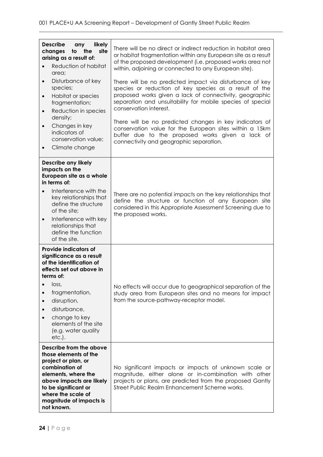| <b>Describe</b><br>likely<br>any<br>site<br>changes<br>to<br>the<br>arising as a result of:<br>Reduction of habitat<br>area;<br>Disturbance of key<br>$\bullet$<br>species;<br>Habitat or species<br>$\bullet$<br>fragmentation;<br>Reduction in species<br>$\bullet$<br>density;<br>Changes in key<br>$\bullet$<br>indicators of<br>conservation value;<br>Climate change | There will be no direct or indirect reduction in habitat area<br>or habitat fragmentation within any European site as a result<br>of the proposed development (i.e. proposed works area not<br>within, adjoining or connected to any European site).<br>There will be no predicted impact via disturbance of key<br>species or reduction of key species as a result of the<br>proposed works given a lack of connectivity, geographic<br>separation and unsuitability for mobile species of special<br>conservation interest.<br>There will be no predicted changes in key indicators of<br>conservation value for the European sites within a 15km<br>buffer due to the proposed works given a lack of<br>connectivity and geographic separation. |
|----------------------------------------------------------------------------------------------------------------------------------------------------------------------------------------------------------------------------------------------------------------------------------------------------------------------------------------------------------------------------|----------------------------------------------------------------------------------------------------------------------------------------------------------------------------------------------------------------------------------------------------------------------------------------------------------------------------------------------------------------------------------------------------------------------------------------------------------------------------------------------------------------------------------------------------------------------------------------------------------------------------------------------------------------------------------------------------------------------------------------------------|
| <b>Describe any likely</b><br>impacts on the<br>European site as a whole<br>in terms of:<br>Interference with the<br>key relationships that<br>define the structure<br>of the site;<br>Interference with key<br>$\bullet$<br>relationships that<br>define the function<br>of the site.                                                                                     | There are no potential impacts on the key relationships that<br>define the structure or function of any European site<br>considered in this Appropriate Assessment Screening due to<br>the proposed works.                                                                                                                                                                                                                                                                                                                                                                                                                                                                                                                                         |
| <b>Provide indicators of</b><br>significance as a result<br>of the identification of<br>effects set out above in<br>terms of:<br>loss,<br>fragmentation,<br>disruption,<br>disturbance,<br>change to key<br>elements of the site<br>(e.g. water quality<br>$etc.$ ).                                                                                                       | No effects will occur due to geographical separation of the<br>study area from European sites and no means for impact<br>from the source-pathway-receptor model.                                                                                                                                                                                                                                                                                                                                                                                                                                                                                                                                                                                   |
| Describe from the above<br>those elements of the<br>project or plan, or<br>combination of<br>elements, where the<br>above impacts are likely<br>to be significant or<br>where the scale of<br>magnitude of impacts is<br>not known.                                                                                                                                        | No significant impacts or impacts of unknown scale or<br>magnitude, either alone or in-combination with other<br>projects or plans, are predicted from the proposed Gantly<br>Street Public Realm Enhancement Scheme works.                                                                                                                                                                                                                                                                                                                                                                                                                                                                                                                        |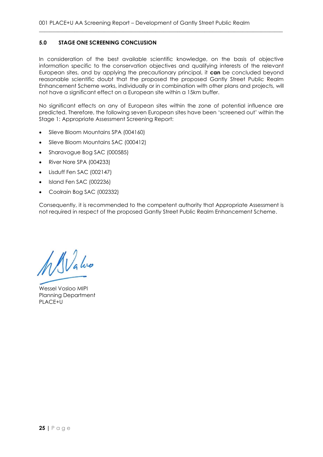## <span id="page-24-0"></span>**5.0 STAGE ONE SCREENING CONCLUSION**

In consideration of the best available scientific knowledge, on the basis of objective information specific to the conservation objectives and qualifying interests of the relevant European sites, and by applying the precautionary principal, it **can** be concluded beyond reasonable scientific doubt that the proposed the proposed Gantly Street Public Realm Enhancement Scheme works, individually or in combination with other plans and projects, will not have a significant effect on a European site within a 15km buffer.

\_\_\_\_\_\_\_\_\_\_\_\_\_\_\_\_\_\_\_\_\_\_\_\_\_\_\_\_\_\_\_\_\_\_\_\_\_\_\_\_\_\_\_\_\_\_\_\_\_\_\_\_\_\_\_\_\_\_\_\_\_\_\_\_\_\_\_\_\_\_\_\_\_\_\_\_\_\_\_\_\_\_\_\_\_\_\_\_\_\_

No significant effects on any of European sites within the zone of potential influence are predicted. Therefore, the following seven European sites have been 'screened out' within the Stage 1: Appropriate Assessment Screening Report:

- Slieve Bloom Mountains SPA (004160)
- Slieve Bloom Mountains SAC (000412)
- Sharavogue Bog SAC (000585)
- River Nore SPA (004233)
- Lisduff Fen SAC (002147)
- Island Fen SAC (002236)
- Coolrain Bog SAC (002332)

Consequently, it is recommended to the competent authority that Appropriate Assessment is not required in respect of the proposed Gantly Street Public Realm Enhancement Scheme.

Walve

<span id="page-24-1"></span>Wessel Vosloo MIPI Planning Department PLACE+U